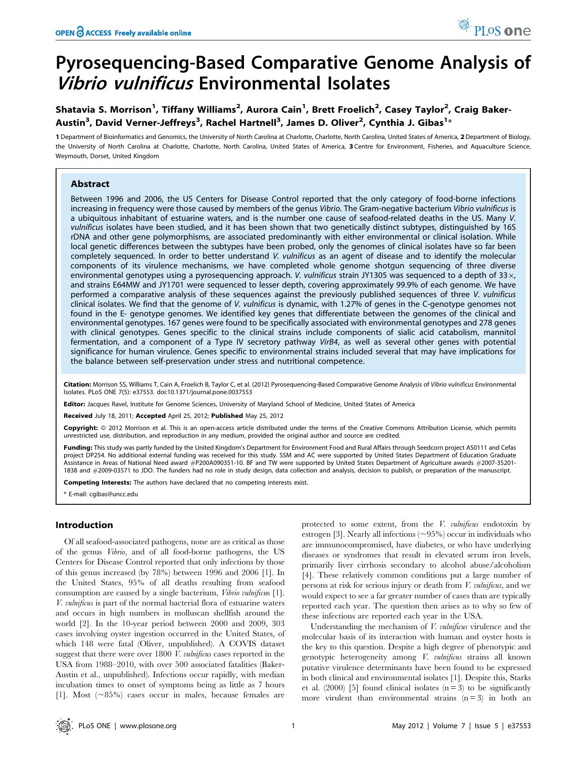# Pyrosequencing-Based Comparative Genome Analysis of Vibrio vulnificus Environmental Isolates

# Shatavia S. Morrison<sup>1</sup>, Tiffany Williams<sup>2</sup>, Aurora Cain<sup>1</sup>, Brett Froelich<sup>2</sup>, Casey Taylor<sup>2</sup>, Craig Baker-Austin<sup>3</sup>, David Verner-Jeffreys<sup>3</sup>, Rachel Hartnell<sup>3</sup>, James D. Oliver<sup>2</sup>, Cynthia J. Gibas<sup>1</sup>\*

1 Department of Bioinformatics and Genomics, the University of North Carolina at Charlotte, Charlotte, North Carolina, United States of America, 2 Department of Biology, the University of North Carolina at Charlotte, Charlotte, North Carolina, United States of America, 3 Centre for Environment, Fisheries, and Aquaculture Science, Weymouth, Dorset, United Kingdom

# Abstract

Between 1996 and 2006, the US Centers for Disease Control reported that the only category of food-borne infections increasing in frequency were those caused by members of the genus Vibrio. The Gram-negative bacterium Vibrio vulnificus is a ubiquitous inhabitant of estuarine waters, and is the number one cause of seafood-related deaths in the US. Many V. vulnificus isolates have been studied, and it has been shown that two genetically distinct subtypes, distinguished by 16S rDNA and other gene polymorphisms, are associated predominantly with either environmental or clinical isolation. While local genetic differences between the subtypes have been probed, only the genomes of clinical isolates have so far been completely sequenced. In order to better understand V. vulnificus as an agent of disease and to identify the molecular components of its virulence mechanisms, we have completed whole genome shotgun sequencing of three diverse environmental genotypes using a pyrosequencing approach. V. vulnificus strain JY1305 was sequenced to a depth of  $33 \times$ , and strains E64MW and JY1701 were sequenced to lesser depth, covering approximately 99.9% of each genome. We have performed a comparative analysis of these sequences against the previously published sequences of three V. vulnificus clinical isolates. We find that the genome of V. vulnificus is dynamic, with 1.27% of genes in the C-genotype genomes not found in the E- genotype genomes. We identified key genes that differentiate between the genomes of the clinical and environmental genotypes. 167 genes were found to be specifically associated with environmental genotypes and 278 genes with clinical genotypes. Genes specific to the clinical strains include components of sialic acid catabolism, mannitol fermentation, and a component of a Type IV secretory pathway VirB4, as well as several other genes with potential significance for human virulence. Genes specific to environmental strains included several that may have implications for the balance between self-preservation under stress and nutritional competence.

Citation: Morrison SS, Williams T, Cain A, Froelich B, Taylor C, et al. (2012) Pyrosequencing-Based Comparative Genome Analysis of Vibrio vulnificus Environmental Isolates. PLoS ONE 7(5): e37553. doi:10.1371/journal.pone.0037553

Editor: Jacques Ravel, Institute for Genome Sciences, University of Maryland School of Medicine, United States of America

Received July 18, 2011; Accepted April 25, 2012; Published May 25, 2012

Copyright: © 2012 Morrison et al. This is an open-access article distributed under the terms of the Creative Commons Attribution License, which permits unrestricted use, distribution, and reproduction in any medium, provided the original author and source are credited.

Funding: This study was partly funded by the United Kingdom's Department for Environment Food and Rural Affairs through Seedcorn project AS0111 and Cefas project DP254. No additional external funding was received for this study. SSM and AC were supported by United States Department of Education Graduate Assistance in Areas of National Need award #P200A090351-10. BF and TW were supported by United States Department of Agriculture awards #2007-35201- 1838 and #2009-03571 to JDO. The funders had no role in study design, data collection and analysis, decision to publish, or preparation of the manuscript.

Competing Interests: The authors have declared that no competing interests exist.

\* E-mail: cgibas@uncc.edu

# Introduction

Of all seafood-associated pathogens, none are as critical as those of the genus Vibrio, and of all food-borne pathogens, the US Centers for Disease Control reported that only infections by those of this genus increased (by 78%) between 1996 and 2006 [1]. In the United States, 95% of all deaths resulting from seafood consumption are caused by a single bacterium, *Vibrio vulnificus* [1]. V. vulnificus is part of the normal bacterial flora of estuarine waters and occurs in high numbers in molluscan shellfish around the world [2]. In the 10-year period between 2000 and 2009, 303 cases involving oyster ingestion occurred in the United States, of which 148 were fatal (Oliver, unpublished). A COVIS dataset suggest that there were over 1800 V. vulnificus cases reported in the USA from 1988–2010, with over 500 associated fatalities (Baker-Austin et al., unpublished). Infections occur rapidly, with median incubation times to onset of symptoms being as little as 7 hours [1]. Most  $(\sim 85\%)$  cases occur in males, because females are protected to some extent, from the V. vulnificus endotoxin by estrogen [3]. Nearly all infections  $(\sim 95\%)$  occur in individuals who are immunocompromised, have diabetes, or who have underlying diseases or syndromes that result in elevated serum iron levels, primarily liver cirrhosis secondary to alcohol abuse/alcoholism [4]. These relatively common conditions put a large number of persons at risk for serious injury or death from V. vulnificus, and we would expect to see a far greater number of cases than are typically reported each year. The question then arises as to why so few of these infections are reported each year in the USA.

Understanding the mechanism of *V. vulnificus* virulence and the molecular basis of its interaction with human and oyster hosts is the key to this question. Despite a high degree of phenotypic and genotypic heterogeneity among V. vulnificus strains all known putative virulence determinants have been found to be expressed in both clinical and environmental isolates [1]. Despite this, Starks et al. (2000) [5] found clinical isolates  $(n = 3)$  to be significantly more virulent than environmental strains  $(n = 3)$  in both an

PLoS one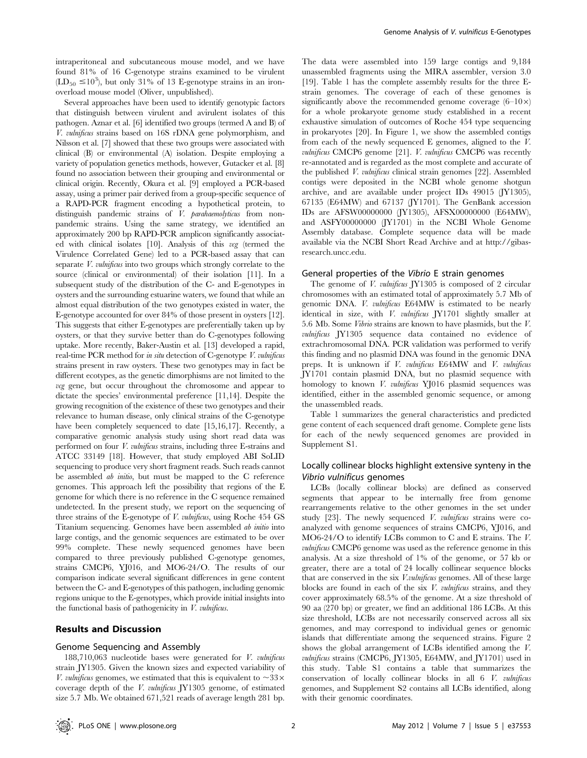intraperitoneal and subcutaneous mouse model, and we have found 81% of 16 C-genotype strains examined to be virulent  $(LD_{50} \leq 10^3)$ , but only 31% of 13 E-genotype strains in an ironoverload mouse model (Oliver, unpublished).

Several approaches have been used to identify genotypic factors that distinguish between virulent and avirulent isolates of this pathogen. Aznar et al. [6] identified two groups (termed A and B) of V. vulnificus strains based on 16S rDNA gene polymorphism, and Nilsson et al. [7] showed that these two groups were associated with clinical (B) or environmental (A) isolation. Despite employing a variety of population genetics methods, however, Gutacker et al. [8] found no association between their grouping and environmental or clinical origin. Recently, Okura et al. [9] employed a PCR-based assay, using a primer pair derived from a group-specific sequence of a RAPD-PCR fragment encoding a hypothetical protein, to distinguish pandemic strains of *V. parahaemolyticus* from nonpandemic strains. Using the same strategy, we identified an approximately 200 bp RAPD-PCR amplicon significantly associated with clinical isolates  $[10]$ . Analysis of this vcg (termed the Virulence Correlated Gene) led to a PCR-based assay that can separate V. vulnificus into two groups which strongly correlate to the source (clinical or environmental) of their isolation [11]. In a subsequent study of the distribution of the C- and E-genotypes in oysters and the surrounding estuarine waters, we found that while an almost equal distribution of the two genotypes existed in water, the E-genotype accounted for over 84% of those present in oysters [12]. This suggests that either E-genotypes are preferentially taken up by oysters, or that they survive better than do C-genotypes following uptake. More recently, Baker-Austin et al. [13] developed a rapid, real-time PCR method for in situ detection of C-genotype V. vulnificus strains present in raw oysters. These two genotypes may in fact be different ecotypes, as the genetic dimorphisms are not limited to the vcg gene, but occur throughout the chromosome and appear to dictate the species' environmental preference [11,14]. Despite the growing recognition of the existence of these two genotypes and their relevance to human disease, only clinical strains of the C-genotype have been completely sequenced to date [15,16,17]. Recently, a comparative genomic analysis study using short read data was performed on four  $V.$  vulnificus strains, including three E-strains and ATCC 33149 [18]. However, that study employed ABI SoLID sequencing to produce very short fragment reads. Such reads cannot be assembled ab initio, but must be mapped to the C reference genomes. This approach left the possibility that regions of the E genome for which there is no reference in the C sequence remained undetected. In the present study, we report on the sequencing of three strains of the E-genotype of V. vulnificus, using Roche 454 GS Titanium sequencing. Genomes have been assembled *ab initio* into large contigs, and the genomic sequences are estimated to be over 99% complete. These newly sequenced genomes have been compared to three previously published C-genotype genomes, strains CMCP6, YJ016, and MO6-24/O. The results of our comparison indicate several significant differences in gene content between the C- and E-genotypes of this pathogen, including genomic regions unique to the E-genotypes, which provide initial insights into the functional basis of pathogenicity in  $V$ . *vulnificus*.

# Results and Discussion

# Genome Sequencing and Assembly

188,710,063 nucleotide bases were generated for V. vulnificus strain JY1305. Given the known sizes and expected variability of V. vulnificus genomes, we estimated that this is equivalent to  $\sim 33 \times$ coverage depth of the V. vulnificus JY1305 genome, of estimated size 5.7 Mb. We obtained 671,521 reads of average length 281 bp.

The data were assembled into 159 large contigs and 9,184 unassembled fragments using the MIRA assembler, version 3.0 [19]. Table 1 has the complete assembly results for the three Estrain genomes. The coverage of each of these genomes is significantly above the recommended genome coverage  $(6-10\times)$ for a whole prokaryote genome study established in a recent exhaustive simulation of outcomes of Roche 454 type sequencing in prokaryotes [20]. In Figure 1, we show the assembled contigs from each of the newly sequenced E genomes, aligned to the V. vulnificus CMCP6 genome [21]. V. vulnificus CMCP6 was recently re-annotated and is regarded as the most complete and accurate of the published V. vulnificus clinical strain genomes [22]. Assembled contigs were deposited in the NCBI whole genome shotgun archive, and are available under project IDs 49015 (JY1305), 67135 (E64MW) and 67137 (JY1701). The GenBank accession IDs are AFSW00000000 (JY1305), AFSX00000000 (E64MW), and ASFY00000000 (JY1701) in the NCBI Whole Genome Assembly database. Complete sequence data will be made available via the NCBI Short Read Archive and at http://gibasresearch.uncc.edu.

#### General properties of the Vibrio E strain genomes

The genome of *V. vulnificus* JY1305 is composed of 2 circular chromosomes with an estimated total of approximately 5.7 Mb of genomic DNA. V. vulnificus E64MW is estimated to be nearly identical in size, with V. vulnificus JY1701 slightly smaller at 5.6 Mb. Some Vibrio strains are known to have plasmids, but the V. vulnificus JY1305 sequence data contained no evidence of extrachromosomal DNA. PCR validation was performed to verify this finding and no plasmid DNA was found in the genomic DNA preps. It is unknown if V. vulnificus E64MW and V. vulnificus JY1701 contain plasmid DNA, but no plasmid sequence with homology to known V. vulnificus YJ016 plasmid sequences was identified, either in the assembled genomic sequence, or among the unassembled reads.

Table 1 summarizes the general characteristics and predicted gene content of each sequenced draft genome. Complete gene lists for each of the newly sequenced genomes are provided in Supplement S1.

# Locally collinear blocks highlight extensive synteny in the Vibrio vulnificus genomes

LCBs (locally collinear blocks) are defined as conserved segments that appear to be internally free from genome rearrangements relative to the other genomes in the set under study [23]. The newly sequenced V. vulnificus strains were coanalyzed with genome sequences of strains CMCP6, YJ016, and MO6-24/O to identify LCBs common to C and E strains. The V. vulnificus CMCP6 genome was used as the reference genome in this analysis. At a size threshold of 1% of the genome, or 57 kb or greater, there are a total of 24 locally collinear sequence blocks that are conserved in the six *V.vulnificus* genomes. All of these large blocks are found in each of the six  $V$ . *vulnificus* strains, and they cover approximately 68.5% of the genome. At a size threshold of 90 aa (270 bp) or greater, we find an additional 186 LCBs. At this size threshold, LCBs are not necessarily conserved across all six genomes, and may correspond to individual genes or genomic islands that differentiate among the sequenced strains. Figure 2 shows the global arrangement of LCBs identified among the V. vulnificus strains (CMCP6, JY1305, E64MW, and JY1701) used in this study. Table S1 contains a table that summarizes the conservation of locally collinear blocks in all 6 V. vulnificus genomes, and Supplement S2 contains all LCBs identified, along with their genomic coordinates.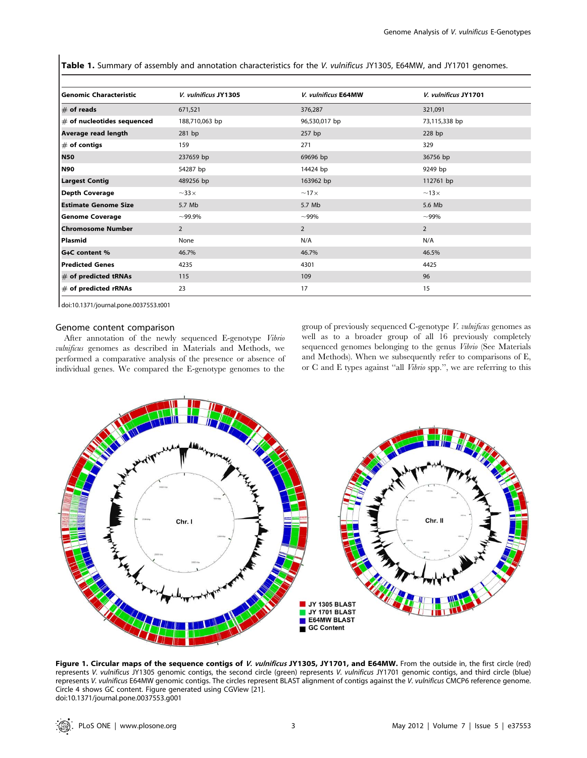Table 1. Summary of assembly and annotation characteristics for the V. vulnificus JY1305, E64MW, and JY1701 genomes.

| <b>Genomic Characteristic</b> | V. vulnificus JY1305 | V. vulnificus E64MW | V. vulnificus JY1701 |
|-------------------------------|----------------------|---------------------|----------------------|
| $\#$ of reads                 | 671,521              | 376,287             | 321,091              |
| $#$ of nucleotides sequenced  | 188,710,063 bp       | 96,530,017 bp       | 73,115,338 bp        |
| Average read length           | 281 bp               | 257 bp              | 228 bp               |
| $#$ of contigs                | 159                  | 271                 | 329                  |
| <b>N50</b>                    | 237659 bp            | 69696 bp            | 36756 bp             |
| <b>N90</b>                    | 54287 bp             | 14424 bp            | 9249 bp              |
| <b>Largest Contig</b>         | 489256 bp            | 163962 bp           | 112761 bp            |
| <b>Depth Coverage</b>         | $\sim$ 33 $\times$   | $~17\times$         | $~13\times$          |
| <b>Estimate Genome Size</b>   | 5.7 Mb               | 5.7 Mb              | 5.6 Mb               |
| <b>Genome Coverage</b>        | $~100.9\%$           | $-99%$              | $~100\%$             |
| <b>Chromosome Number</b>      | $\overline{2}$       | $\overline{2}$      | $\overline{2}$       |
| Plasmid                       | None                 | N/A                 | N/A                  |
| G+C content %                 | 46.7%                | 46.7%               | 46.5%                |
| <b>Predicted Genes</b>        | 4235                 | 4301                | 4425                 |
| $#$ of predicted tRNAs        | 115                  | 109                 | 96                   |
| $#$ of predicted rRNAs        | 23                   | 17                  | 15                   |

doi:10.1371/journal.pone.0037553.t001

#### Genome content comparison

After annotation of the newly sequenced E-genotype Vibrio vulnificus genomes as described in Materials and Methods, we performed a comparative analysis of the presence or absence of individual genes. We compared the E-genotype genomes to the

group of previously sequenced C-genotype V. vulnificus genomes as well as to a broader group of all 16 previously completely sequenced genomes belonging to the genus Vibrio (See Materials and Methods). When we subsequently refer to comparisons of E, or C and E types against ''all Vibrio spp.'', we are referring to this



Figure 1. Circular maps of the sequence contigs of V. vulnificus JY1305, JY1701, and E64MW. From the outside in, the first circle (red) represents V. vulnificus JY1305 genomic contigs, the second circle (green) represents V. vulnificus JY1701 genomic contigs, and third circle (blue) represents V. vulnificus E64MW genomic contigs. The circles represent BLAST alignment of contigs against the V. vulnificus CMCP6 reference genome. Circle 4 shows GC content. Figure generated using CGView [21]. doi:10.1371/journal.pone.0037553.g001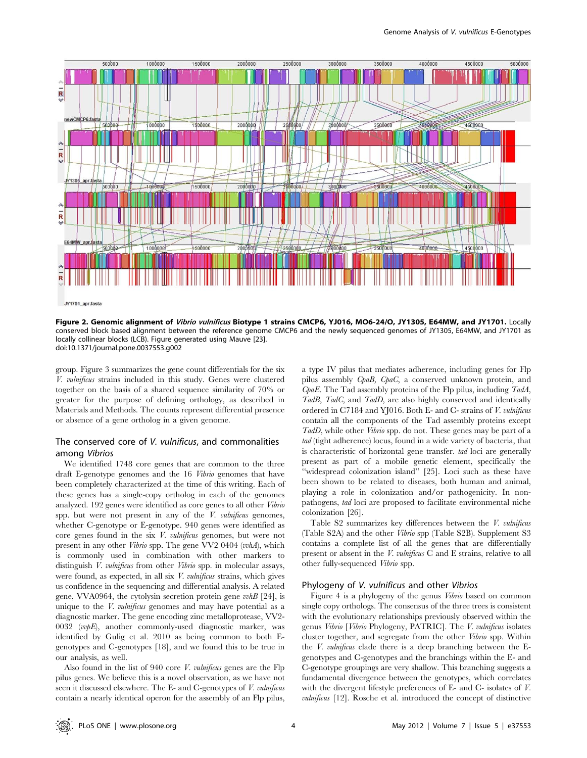

JY1701 apr.fasta

Figure 2. Genomic alignment of Vibrio vulnificus Biotype 1 strains CMCP6, YJ016, MO6-24/O, JY1305, E64MW, and JY1701. Locally conserved block based alignment between the reference genome CMCP6 and the newly sequenced genomes of JY1305, E64MW, and JY1701 as locally collinear blocks (LCB). Figure generated using Mauve [23]. doi:10.1371/journal.pone.0037553.g002

group. Figure 3 summarizes the gene count differentials for the six V. vulnificus strains included in this study. Genes were clustered together on the basis of a shared sequence similarity of 70% or greater for the purpose of defining orthology, as described in Materials and Methods. The counts represent differential presence or absence of a gene ortholog in a given genome.

# The conserved core of V. vulnificus, and commonalities among Vibrios

We identified 1748 core genes that are common to the three draft E-genotype genomes and the 16 Vibrio genomes that have been completely characterized at the time of this writing. Each of these genes has a single-copy ortholog in each of the genomes analyzed. 192 genes were identified as core genes to all other Vibrio spp. but were not present in any of the  $V$ . *vulnificus* genomes, whether C-genotype or E-genotype. 940 genes were identified as core genes found in the six V. vulnificus genomes, but were not present in any other Vibrio spp. The gene VV2 0404 (vvhA), which is commonly used in combination with other markers to distinguish *V. vulnificus* from other *Vibrio* spp. in molecular assays, were found, as expected, in all six V. vulnificus strains, which gives us confidence in the sequencing and differential analysis. A related gene, VVA0964, the cytolysin secretion protein gene  $vwhB$  [24], is unique to the  $V$ . *vulnificus* genomes and may have potential as a diagnostic marker. The gene encoding zinc metalloprotease, VV2- 0032 (vvpE), another commonly-used diagnostic marker, was identified by Gulig et al. 2010 as being common to both Egenotypes and C-genotypes [18], and we found this to be true in our analysis, as well.

Also found in the list of 940 core *V. vulnificus* genes are the Flp pilus genes. We believe this is a novel observation, as we have not seen it discussed elsewhere. The E- and C-genotypes of V. vulnificus contain a nearly identical operon for the assembly of an Flp pilus,

a type IV pilus that mediates adherence, including genes for Flp pilus assembly CpaB, CpaC, a conserved unknown protein, and  $CpaE$ . The Tad assembly proteins of the Flp pilus, including  $Tada$ , TadB, TadC, and TadD, are also highly conserved and identically ordered in C7184 and YJ016. Both E- and C- strains of V. vulnificus contain all the components of the Tad assembly proteins except TadD, while other Vibrio spp. do not. These genes may be part of a tad (tight adherence) locus, found in a wide variety of bacteria, that is characteristic of horizontal gene transfer. tad loci are generally present as part of a mobile genetic element, specifically the "widespread colonization island" [25]. Loci such as these have been shown to be related to diseases, both human and animal, playing a role in colonization and/or pathogenicity. In nonpathogens, tad loci are proposed to facilitate environmental niche colonization [26].

Table S2 summarizes key differences between the V. vulnificus (Table S2A) and the other Vibrio spp (Table S2B). Supplement S3 contains a complete list of all the genes that are differentially present or absent in the V. vulnificus C and E strains, relative to all other fully-sequenced Vibrio spp.

#### Phylogeny of V. vulnificus and other Vibrios

Figure 4 is a phylogeny of the genus Vibrio based on common single copy orthologs. The consensus of the three trees is consistent with the evolutionary relationships previously observed within the genus Vibrio [Vibrio Phylogeny, PATRIC]. The V. vulnificus isolates cluster together, and segregate from the other Vibrio spp. Within the *V. vulnificus* clade there is a deep branching between the Egenotypes and C-genotypes and the branchings within the E- and C-genotype groupings are very shallow. This branching suggests a fundamental divergence between the genotypes, which correlates with the divergent lifestyle preferences of E- and C- isolates of V. vulnificus [12]. Rosche et al. introduced the concept of distinctive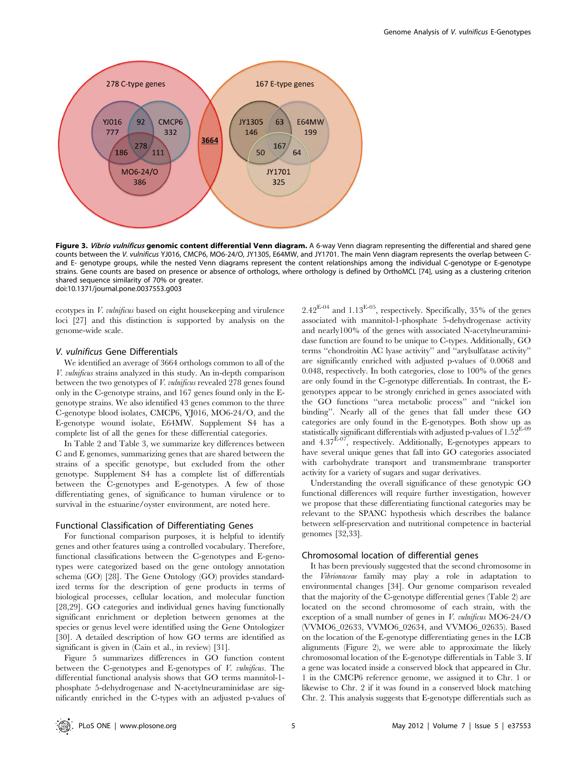

Figure 3. Vibrio vulnificus genomic content differential Venn diagram. A 6-way Venn diagram representing the differential and shared gene counts between the V. vulnificus YJ016, CMCP6, MO6-24/O, JY1305, E64MW, and JY1701. The main Venn diagram represents the overlap between Cand E- genotype groups, while the nested Venn diagrams represent the content relationships among the individual C-genotype or E-genotype strains. Gene counts are based on presence or absence of orthologs, where orthology is defined by OrthoMCL [74], using as a clustering criterion shared sequence similarity of 70% or greater. doi:10.1371/journal.pone.0037553.g003

ecotypes in V. vulnificus based on eight housekeeping and virulence loci [27] and this distinction is supported by analysis on the genome-wide scale.

# V. vulnificus Gene Differentials

We identified an average of 3664 orthologs common to all of the V. vulnificus strains analyzed in this study. An in-depth comparison between the two genotypes of *V. vulnificus* revealed 278 genes found only in the C-genotype strains, and 167 genes found only in the Egenotype strains. We also identified 43 genes common to the three C-genotype blood isolates, CMCP6, YJ016, MO6-24/O, and the E-genotype wound isolate, E64MW. Supplement S4 has a complete list of all the genes for these differential categories.

In Table 2 and Table 3, we summarize key differences between C and E genomes, summarizing genes that are shared between the strains of a specific genotype, but excluded from the other genotype. Supplement S4 has a complete list of differentials between the C-genotypes and E-genotypes. A few of those differentiating genes, of significance to human virulence or to survival in the estuarine/oyster environment, are noted here.

#### Functional Classification of Differentiating Genes

For functional comparison purposes, it is helpful to identify genes and other features using a controlled vocabulary. Therefore, functional classifications between the C-genotypes and E-genotypes were categorized based on the gene ontology annotation schema (GO) [28]. The Gene Ontology (GO) provides standardized terms for the description of gene products in terms of biological processes, cellular location, and molecular function [28,29]. GO categories and individual genes having functionally significant enrichment or depletion between genomes at the species or genus level were identified using the Gene Ontologizer [30]. A detailed description of how GO terms are identified as significant is given in (Cain et al., in review) [31].

Figure 5 summarizes differences in GO function content between the C-genotypes and E-genotypes of V. vulnificus. The differential functional analysis shows that GO terms mannitol-1 phosphate 5-dehydrogenase and N-acetylneuraminidase are significantly enriched in the C-types with an adjusted p-values of  $2.42^{E-04}$  and  $1.13^{E-05}$ , respectively. Specifically, 35% of the genes associated with mannitol-1-phosphate 5-dehydrogenase activity and nearly100% of the genes with associated N-acetylneuraminidase function are found to be unique to C-types. Additionally, GO terms ''chondroitin AC lyase activity'' and ''arylsulfatase activity'' are significantly enriched with adjusted p-values of 0.0068 and 0.048, respectively. In both categories, close to 100% of the genes are only found in the C-genotype differentials. In contrast, the Egenotypes appear to be strongly enriched in genes associated with the GO functions ''urea metabolic process'' and ''nickel ion binding''. Nearly all of the genes that fall under these GO categories are only found in the E-genotypes. Both show up as statistically significant differentials with adjusted p-values of  $1.52^{E-09}$ and  $4.37^{\text{E-07}}$ , respectively. Additionally, E-genotypes appears to have several unique genes that fall into GO categories associated with carbohydrate transport and transmembrane transporter activity for a variety of sugars and sugar derivatives.

Understanding the overall significance of these genotypic GO functional differences will require further investigation, however we propose that these differentiating functional categories may be relevant to the SPANC hypothesis which describes the balance between self-preservation and nutritional competence in bacterial genomes [32,33].

# Chromosomal location of differential genes

It has been previously suggested that the second chromosome in the Vibrionaceae family may play a role in adaptation to environmental changes [34]. Our genome comparison revealed that the majority of the C-genotype differential genes (Table 2) are located on the second chromosome of each strain, with the exception of a small number of genes in V. vulnificus MO6-24/O (VVMO6\_02633, VVMO6\_02634, and VVMO6\_02635). Based on the location of the E-genotype differentiating genes in the LCB alignments (Figure 2), we were able to approximate the likely chromosomal location of the E-genotype differentials in Table 3. If a gene was located inside a conserved block that appeared in Chr. 1 in the CMCP6 reference genome, we assigned it to Chr. 1 or likewise to Chr. 2 if it was found in a conserved block matching Chr. 2. This analysis suggests that E-genotype differentials such as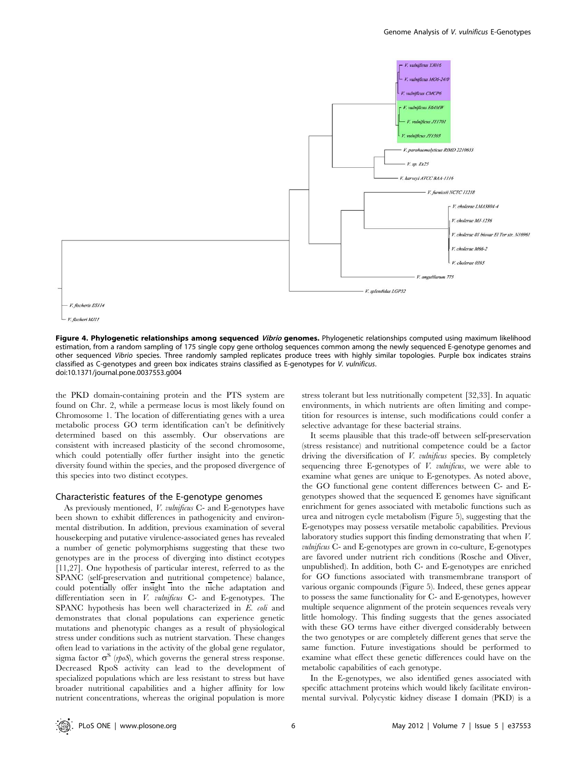

Figure 4. Phylogenetic relationships among sequenced Vibrio genomes. Phylogenetic relationships computed using maximum likelihood estimation, from a random sampling of 175 single copy gene ortholog sequences common among the newly sequenced E-genotype genomes and other sequenced Vibrio species. Three randomly sampled replicates produce trees with highly similar topologies. Purple box indicates strains classified as C-genotypes and green box indicates strains classified as E-genotypes for V. vulnificus. doi:10.1371/journal.pone.0037553.g004

the PKD domain-containing protein and the PTS system are found on Chr. 2, while a permease locus is most likely found on Chromosome 1. The location of differentiating genes with a urea metabolic process GO term identification can't be definitively determined based on this assembly. Our observations are consistent with increased plasticity of the second chromosome, which could potentially offer further insight into the genetic diversity found within the species, and the proposed divergence of this species into two distinct ecotypes.

## Characteristic features of the E-genotype genomes

As previously mentioned, *V. vulnificus* C- and E-genotypes have been shown to exhibit differences in pathogenicity and environmental distribution. In addition, previous examination of several housekeeping and putative virulence-associated genes has revealed a number of genetic polymorphisms suggesting that these two genotypes are in the process of diverging into distinct ecotypes [11,27]. One hypothesis of particular interest, referred to as the SPANC (self-preservation and nutritional competence) balance, could potentially offer insight into the niche adaptation and differentiation seen in  $V.$  vulnificus  $C-$  and E-genotypes. The SPANC hypothesis has been well characterized in E. coli and demonstrates that clonal populations can experience genetic mutations and phenotypic changes as a result of physiological stress under conditions such as nutrient starvation. These changes often lead to variations in the activity of the global gene regulator, sigma factor  $\sigma^s$  (*rpoS*), which governs the general stress response. Decreased RpoS activity can lead to the development of specialized populations which are less resistant to stress but have broader nutritional capabilities and a higher affinity for low nutrient concentrations, whereas the original population is more

stress tolerant but less nutritionally competent [32,33]. In aquatic environments, in which nutrients are often limiting and competition for resources is intense, such modifications could confer a selective advantage for these bacterial strains.

It seems plausible that this trade-off between self-preservation (stress resistance) and nutritional competence could be a factor driving the diversification of *V. vulnificus* species. By completely sequencing three E-genotypes of  $V$ . *vulnificus*, we were able to examine what genes are unique to E-genotypes. As noted above, the GO functional gene content differences between C- and Egenotypes showed that the sequenced E genomes have significant enrichment for genes associated with metabolic functions such as urea and nitrogen cycle metabolism (Figure 5), suggesting that the E-genotypes may possess versatile metabolic capabilities. Previous laboratory studies support this finding demonstrating that when V. vulnificus C- and E-genotypes are grown in co-culture, E-genotypes are favored under nutrient rich conditions (Rosche and Oliver, unpublished). In addition, both C- and E-genotypes are enriched for GO functions associated with transmembrane transport of various organic compounds (Figure 5). Indeed, these genes appear to possess the same functionality for C- and E-genotypes, however multiple sequence alignment of the protein sequences reveals very little homology. This finding suggests that the genes associated with these GO terms have either diverged considerably between the two genotypes or are completely different genes that serve the same function. Future investigations should be performed to examine what effect these genetic differences could have on the metabolic capabilities of each genotype.

In the E-genotypes, we also identified genes associated with specific attachment proteins which would likely facilitate environmental survival. Polycystic kidney disease I domain (PKD) is a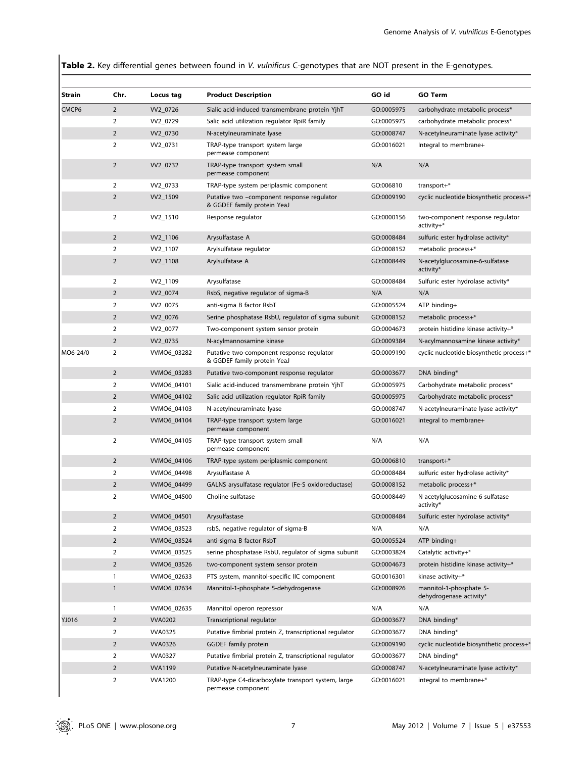Table 2. Key differential genes between found in V. vulnificus C-genotypes that are NOT present in the E-genotypes.

| Strain         | Chr.           | Locus tag      | <b>Product Description</b>                                                              | GO id      | <b>GO Term</b>                                     |
|----------------|----------------|----------------|-----------------------------------------------------------------------------------------|------------|----------------------------------------------------|
| CMCP6          | $\overline{2}$ | VV2 0726       | Sialic acid-induced transmembrane protein YjhT                                          | GO:0005975 | carbohydrate metabolic process*                    |
|                | $\overline{2}$ | VV2_0729       | Salic acid utilization regulator RpiR family                                            | GO:0005975 | carbohydrate metabolic process*                    |
|                | $\overline{2}$ | VV2_0730       | N-acetylneuraminate lyase                                                               | GO:0008747 | N-acetylneuraminate lyase activity*                |
|                | $\overline{2}$ | VV2_0731       | TRAP-type transport system large<br>permease component                                  | GO:0016021 | Integral to membrane+                              |
|                | $\overline{2}$ | VV2_0732       | TRAP-type transport system small<br>permease component                                  | N/A        | N/A                                                |
|                | $\overline{2}$ | VV2_0733       | TRAP-type system periplasmic component                                                  | GO:006810  | transport $+$ *                                    |
|                | $\overline{2}$ | VV2_1509       | Putative two -component response regulator<br>GO:0009190<br>& GGDEF family protein YeaJ |            | cyclic nucleotide biosynthetic process+*           |
|                | $\overline{2}$ | VV2_1510       | Response regulator                                                                      | GO:0000156 | two-component response regulator<br>activity+*     |
|                | $\overline{2}$ | VV2_1106       | Arysulfastase A                                                                         | GO:0008484 | sulfuric ester hydrolase activity*                 |
|                | $\overline{2}$ | VV2_1107       | Arylsulfatase regulator                                                                 | GO:0008152 | metabolic process+*                                |
|                | $\overline{2}$ | VV2_1108       | Arylsulfatase A                                                                         | GO:0008449 | N-acetylglucosamine-6-sulfatase<br>activity*       |
|                | $\overline{2}$ | VV2_1109       | Arysulfatase                                                                            | GO:0008484 | Sulfuric ester hydrolase activity*                 |
|                | $\overline{2}$ | VV2_0074       | RsbS, negative regulator of sigma-B                                                     | N/A        | N/A                                                |
|                | $\overline{2}$ | VV2_0075       | anti-sigma B factor RsbT                                                                | GO:0005524 | $ATP$ binding+                                     |
|                | $\overline{2}$ | VV2_0076       | Serine phosphatase RsbU, regulator of sigma subunit                                     | GO:0008152 | metabolic process+*                                |
|                | $\overline{2}$ | VV2_0077       | Two-component system sensor protein                                                     | GO:0004673 | protein histidine kinase activity+*                |
| $\overline{2}$ |                | VV2_0735       | N-acylmannosamine kinase                                                                | GO:0009384 | N-acylmannosamine kinase activity*                 |
| MO6-24/0       | $\overline{2}$ | VVMO6_03282    | Putative two-component response regulator<br>& GGDEF family protein YeaJ                | GO:0009190 | cyclic nucleotide biosynthetic process+*           |
|                | $\overline{2}$ | VVMO6_03283    | Putative two-component response regulator                                               | GO:0003677 | DNA binding*                                       |
|                | $\overline{2}$ | VVMO6_04101    | Sialic acid-induced transmembrane protein YjhT                                          | GO:0005975 | Carbohydrate metabolic process*                    |
|                | $\overline{2}$ | VVMO6_04102    | Salic acid utilization regulator RpiR family                                            | GO:0005975 | Carbohydrate metabolic process*                    |
|                | $\overline{2}$ | VVMO6_04103    | N-acetylneuraminate lyase                                                               | GO:0008747 | N-acetylneuraminate lyase activity*                |
|                | $\overline{2}$ | VVMO6_04104    | TRAP-type transport system large<br>permease component                                  | GO:0016021 | integral to membrane+                              |
|                | $\overline{2}$ | VVMO6_04105    | TRAP-type transport system small<br>permease component                                  | N/A        | N/A                                                |
|                | $\overline{2}$ | VVMO6_04106    | TRAP-type system periplasmic component                                                  | GO:0006810 | transport+*                                        |
|                | $\overline{2}$ | VVMO6_04498    | Arysulfastase A                                                                         | GO:0008484 | sulfuric ester hydrolase activity*                 |
|                | $\overline{2}$ | VVMO6 04499    | GALNS arysulfatase regulator (Fe-S oxidoreductase)                                      | GO:0008152 | metabolic process+*                                |
|                | $\overline{2}$ | VVMO6_04500    | Choline-sulfatase                                                                       | GO:0008449 | N-acetylglucosamine-6-sulfatase<br>activity*       |
|                | $\overline{2}$ | VVMO6_04501    | Arysulfastase                                                                           | GO:0008484 | Sulfuric ester hydrolase activity*                 |
|                | $\overline{2}$ | VVMO6_03523    | rsbS, negative regulator of sigma-B                                                     | N/A        | N/A                                                |
|                | $\overline{2}$ | VVMO6_03524    | anti-sigma B factor RsbT                                                                | GO:0005524 | ATP binding+                                       |
|                | $\overline{2}$ | VVMO6_03525    | serine phosphatase RsbU, regulator of sigma subunit                                     | GO:0003824 | Catalytic activity+*                               |
|                | $\overline{2}$ | VVMO6_03526    | two-component system sensor protein                                                     | GO:0004673 | protein histidine kinase activity+*                |
|                | 1              | VVMO6 02633    | PTS system, mannitol-specific IIC component                                             | GO:0016301 | kinase activity+*                                  |
|                | $\mathbf{1}$   | VVMO6_02634    | Mannitol-1-phosphate 5-dehydrogenase                                                    | GO:0008926 | mannitol-1-phosphate 5-<br>dehydrogenase activity* |
|                | $\mathbf{1}$   | VVMO6 02635    | Mannitol operon repressor                                                               | N/A        | N/A                                                |
| YJ016          | $\overline{2}$ | <b>VVA0202</b> | Transcriptional regulator                                                               | GO:0003677 | DNA binding*                                       |
|                | $\overline{2}$ | <b>VVA0325</b> | Putative fimbrial protein Z, transcriptional regulator                                  | GO:0003677 | DNA binding*                                       |
|                | $\overline{2}$ | <b>VVA0326</b> | <b>GGDEF</b> family protein                                                             | GO:0009190 | cyclic nucleotide biosynthetic process+*           |
|                |                | <b>VVA0327</b> | Putative fimbrial protein Z, transcriptional regulator                                  | GO:0003677 | DNA binding*                                       |
|                | $\overline{2}$ |                |                                                                                         |            |                                                    |
|                | $\mathbf 2$    | <b>VVA1199</b> | Putative N-acetylneuraminate lyase                                                      | GO:0008747 | N-acetylneuraminate lyase activity*                |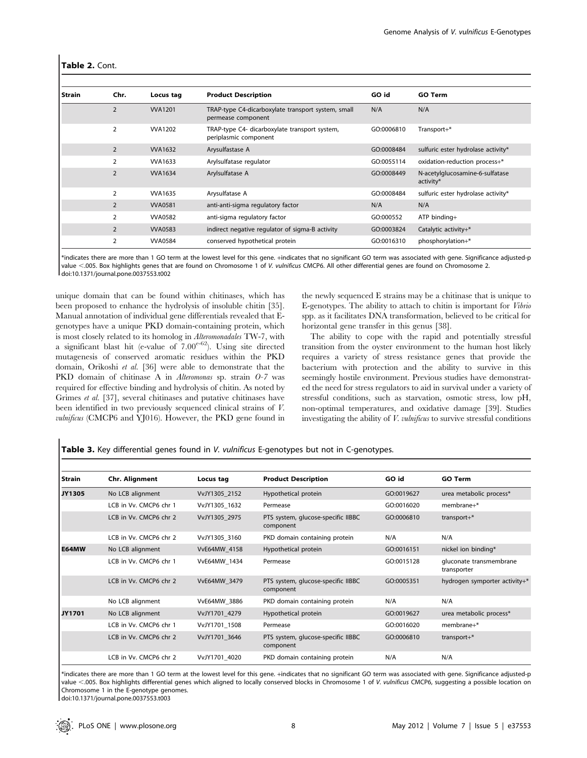|  | Table 2. Cont. |
|--|----------------|
|--|----------------|

| Strain | Chr.           | Locus tag      | <b>Product Description</b>                                                           | GO id      | <b>GO Term</b>                               |  |
|--------|----------------|----------------|--------------------------------------------------------------------------------------|------------|----------------------------------------------|--|
|        | $\overline{2}$ | <b>VVA1201</b> | TRAP-type C4-dicarboxylate transport system, small<br>permease component             | N/A        | N/A                                          |  |
|        | $\overline{2}$ | <b>VVA1202</b> | TRAP-type C4- dicarboxylate transport system,<br>GO:0006810<br>periplasmic component |            | Transport+*                                  |  |
|        | $\overline{2}$ | <b>WA1632</b>  | Arysulfastase A                                                                      | GO:0008484 | sulfuric ester hydrolase activity*           |  |
|        | $\overline{2}$ | <b>VVA1633</b> | Arylsulfatase regulator                                                              | GO:0055114 | oxidation-reduction process+*                |  |
|        | $\overline{2}$ | <b>WA1634</b>  | Arylsulfatase A                                                                      | GO:0008449 | N-acetylglucosamine-6-sulfatase<br>activity* |  |
|        | $\overline{2}$ | <b>WA1635</b>  | Arysulfatase A                                                                       | GO:0008484 | sulfuric ester hydrolase activity*           |  |
|        | 2              | <b>VVA0581</b> | anti-anti-sigma regulatory factor                                                    | N/A        | N/A                                          |  |
|        | $\overline{2}$ | <b>VVA0582</b> | anti-sigma regulatory factor                                                         | GO:000552  | $ATP$ binding+                               |  |
|        | $\overline{2}$ | <b>VVA0583</b> | indirect negative regulator of sigma-B activity                                      | GO:0003824 | Catalytic activity+*                         |  |
|        | 2              | <b>VVA0584</b> | conserved hypothetical protein                                                       | GO:0016310 | phosphorylation+*                            |  |

\*indicates there are more than 1 GO term at the lowest level for this gene. +indicates that no significant GO term was associated with gene. Significance adjusted-p value <.005. Box highlights genes that are found on Chromosome 1 of V. vulnificus CMCP6. All other differential genes are found on Chromosome 2. doi:10.1371/journal.pone.0037553.t002

unique domain that can be found within chitinases, which has been proposed to enhance the hydrolysis of insoluble chitin [35]. Manual annotation of individual gene differentials revealed that Egenotypes have a unique PKD domain-containing protein, which is most closely related to its homolog in Alteromonadales TW-7, with a significant blast hit (e-value of  $7.00^{e-62}$ ). Using site directed mutagenesis of conserved aromatic residues within the PKD domain, Orikoshi et al. [36] were able to demonstrate that the PKD domain of chitinase A in Alteromonas sp. strain O-7 was required for effective binding and hydrolysis of chitin. As noted by Grimes et al. [37], several chitinases and putative chitinases have been identified in two previously sequenced clinical strains of V. vulnificus (CMCP6 and YJ016). However, the PKD gene found in

the newly sequenced E strains may be a chitinase that is unique to E-genotypes. The ability to attach to chitin is important for Vibrio spp. as it facilitates DNA transformation, believed to be critical for horizontal gene transfer in this genus [38].

The ability to cope with the rapid and potentially stressful transition from the oyster environment to the human host likely requires a variety of stress resistance genes that provide the bacterium with protection and the ability to survive in this seemingly hostile environment. Previous studies have demonstrated the need for stress regulators to aid in survival under a variety of stressful conditions, such as starvation, osmotic stress, low pH, non-optimal temperatures, and oxidative damage [39]. Studies investigating the ability of V. vulnificus to survive stressful conditions

Table 3. Key differential genes found in V. vulnificus E-genotypes but not in C-genotypes.

| Strain | Chr. Alignment         | Locus tag     | <b>Product Description</b>                      | GO id      | <b>GO Term</b>                         |
|--------|------------------------|---------------|-------------------------------------------------|------------|----------------------------------------|
| JY1305 | No LCB alignment       | VvJY1305 2152 | Hypothetical protein                            | GO:0019627 | urea metabolic process*                |
|        | LCB in Vv. CMCP6 chr 1 | VvJY1305 1632 | Permease                                        | GO:0016020 | $member*$                              |
|        | LCB in Vv. CMCP6 chr 2 | VvJY1305 2975 | PTS system, glucose-specific IIBBC<br>component | GO:0006810 | transport+*                            |
|        | LCB in Vv. CMCP6 chr 2 | VvJY1305 3160 | PKD domain containing protein                   | N/A        | N/A                                    |
| E64MW  | No LCB alignment       | VvE64MW 4158  | Hypothetical protein                            | GO:0016151 | nickel ion binding*                    |
|        | LCB in Vv. CMCP6 chr 1 | VvE64MW 1434  | Permease                                        | GO:0015128 | gluconate transmembrane<br>transporter |
|        | LCB in Vv. CMCP6 chr 2 | VvE64MW 3479  | PTS system, glucose-specific IIBBC<br>component | GO:0005351 | hydrogen symporter activity+*          |
|        | No LCB alignment       | VvE64MW 3886  | PKD domain containing protein                   | N/A        | N/A                                    |
| JY1701 | No LCB alignment       | VvJY1701 4279 | Hypothetical protein                            | GO:0019627 | urea metabolic process*                |
|        | LCB in Vv. CMCP6 chr 1 | VvJY1701 1508 | Permease                                        | GO:0016020 | $member*$                              |
|        | LCB in Vv. CMCP6 chr 2 | VvJY1701 3646 | PTS system, glucose-specific IIBBC<br>component | GO:0006810 | transport+*                            |
|        | LCB in Vv. CMCP6 chr 2 | VvJY1701 4020 | PKD domain containing protein                   | N/A        | N/A                                    |

\*indicates there are more than 1 GO term at the lowest level for this gene. +indicates that no significant GO term was associated with gene. Significance adjusted-p value <.005. Box highlights differential genes which aligned to locally conserved blocks in Chromosome 1 of V. vulnificus CMCP6, suggesting a possible location on Chromosome 1 in the E-genotype genomes.

doi:10.1371/journal.pone.0037553.t003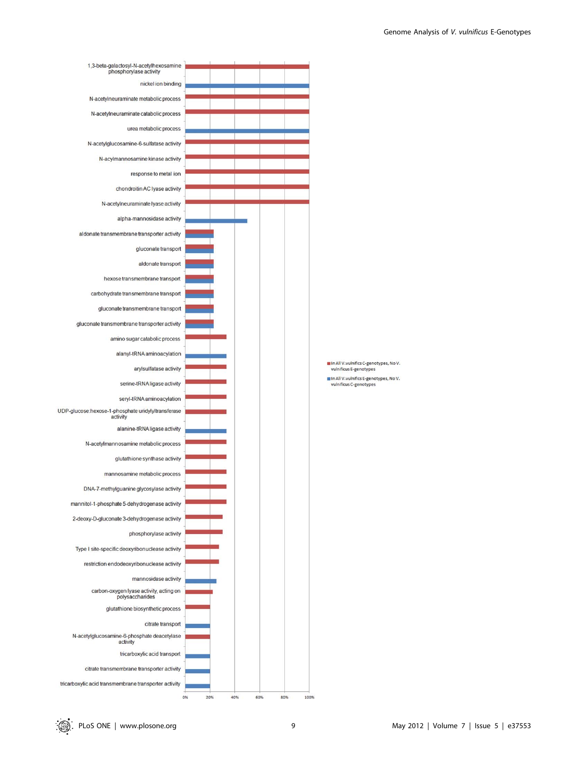

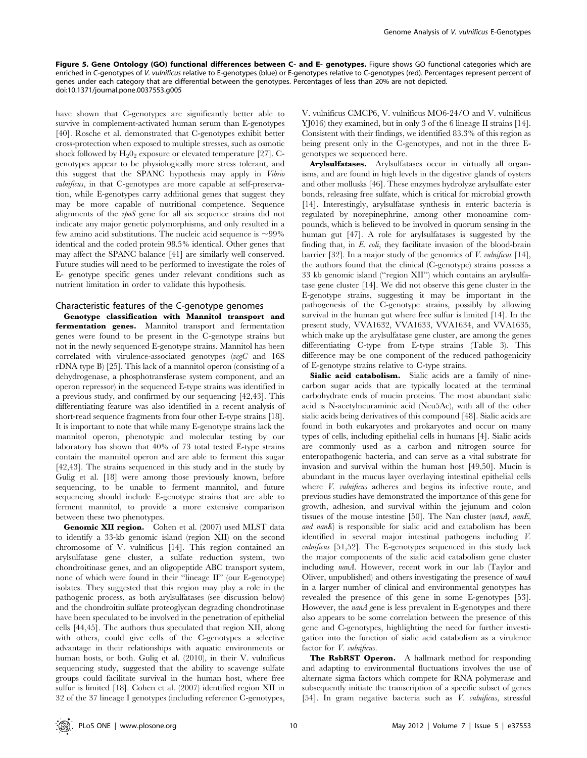Figure 5. Gene Ontology (GO) functional differences between C- and E- genotypes. Figure shows GO functional categories which are enriched in C-genotypes of V. vulnificus relative to E-genotypes (blue) or E-genotypes relative to C-genotypes (red). Percentages represent percent of genes under each category that are differential between the genotypes. Percentages of less than 20% are not depicted. doi:10.1371/journal.pone.0037553.g005

have shown that C-genotypes are significantly better able to survive in complement-activated human serum than E-genotypes [40]. Rosche et al. demonstrated that C-genotypes exhibit better cross-protection when exposed to multiple stresses, such as osmotic shock followed by  $H_20_2$  exposure or elevated temperature [27]. Cgenotypes appear to be physiologically more stress tolerant, and this suggest that the SPANC hypothesis may apply in Vibrio vulnificus, in that C-genotypes are more capable at self-preservation, while E-genotypes carry additional genes that suggest they may be more capable of nutritional competence. Sequence alignments of the rpoS gene for all six sequence strains did not indicate any major genetic polymorphisms, and only resulted in a few amino acid substitutions. The nucleic acid sequence is  $\sim$ 99% identical and the coded protein 98.5% identical. Other genes that may affect the SPANC balance [41] are similarly well conserved. Future studies will need to be performed to investigate the roles of E- genotype specific genes under relevant conditions such as nutrient limitation in order to validate this hypothesis.

# Characteristic features of the C-genotype genomes

Genotype classification with Mannitol transport and fermentation genes. Mannitol transport and fermentation genes were found to be present in the C-genotype strains but not in the newly sequenced E-genotype strains. Mannitol has been correlated with virulence-associated genotypes  $(vcgC)$  and 16S rDNA type B) [25]. This lack of a mannitol operon (consisting of a dehydrogenase, a phosphotransferase system component, and an operon repressor) in the sequenced E-type strains was identified in a previous study, and confirmed by our sequencing [42,43]. This differentiating feature was also identified in a recent analysis of short-read sequence fragments from four other E-type strains [18]. It is important to note that while many E-genotype strains lack the mannitol operon, phenotypic and molecular testing by our laboratory has shown that 40% of 73 total tested E-type strains contain the mannitol operon and are able to ferment this sugar [42,43]. The strains sequenced in this study and in the study by Gulig et al. [18] were among those previously known, before sequencing, to be unable to ferment mannitol, and future sequencing should include E-genotype strains that are able to ferment mannitol, to provide a more extensive comparison between these two phenotypes.

Genomic XII region. Cohen et al. (2007) used MLST data to identify a 33-kb genomic island (region XII) on the second chromosome of V. vulnificus [14]. This region contained an arylsulfatase gene cluster, a sulfate reduction system, two chondroitinase genes, and an oligopeptide ABC transport system, none of which were found in their ''lineage II'' (our E-genotype) isolates. They suggested that this region may play a role in the pathogenic process, as both arylsulfatases (see discussion below) and the chondroitin sulfate proteoglycan degrading chondrotinase have been speculated to be involved in the penetration of epithelial cells [44,45]. The authors thus speculated that region XII, along with others, could give cells of the C-genotypes a selective advantage in their relationships with aquatic environments or human hosts, or both. Gulig et al. (2010), in their V. vulnificus sequencing study, suggested that the ability to scavenge sulfate groups could facilitate survival in the human host, where free sulfur is limited [18]. Cohen et al. (2007) identified region XII in 32 of the 37 lineage I genotypes (including reference C-genotypes,

V. vulnificus CMCP6, V. vulnificus MO6-24/O and V. vulnificus YJ016) they examined, but in only 3 of the 6 lineage II strains [14]. Consistent with their findings, we identified 83.3% of this region as being present only in the C-genotypes, and not in the three Egenotypes we sequenced here.

Arylsulfatases. Arylsulfatases occur in virtually all organisms, and are found in high levels in the digestive glands of oysters and other mollusks [46]. These enzymes hydrolyze arylsulfate ester bonds, releasing free sulfate, which is critical for microbial growth [14]. Interestingly, arylsulfatase synthesis in enteric bacteria is regulated by norepinephrine, among other monoamine compounds, which is believed to be involved in quorum sensing in the human gut [47]. A role for arylsulfatases is suggested by the finding that, in E. coli, they facilitate invasion of the blood-brain barrier [32]. In a major study of the genomics of  $V$ . vulnificus [14], the authors found that the clinical (C-genotype) strains possess a 33 kb genomic island (''region XII'') which contains an arylsulfatase gene cluster [14]. We did not observe this gene cluster in the E-genotype strains, suggesting it may be important in the pathogenesis of the C-genotype strains, possibly by allowing survival in the human gut where free sulfur is limited [14]. In the present study, VVA1632, VVA1633, VVA1634, and VVA1635, which make up the arylsulfatase gene cluster, are among the genes differentiating C-type from E-type strains (Table 3). This difference may be one component of the reduced pathogenicity of E-genotype strains relative to C-type strains.

Sialic acid catabolism. Sialic acids are a family of ninecarbon sugar acids that are typically located at the terminal carbohydrate ends of mucin proteins. The most abundant sialic acid is N-acetylneuraminic acid (Neu5Ac), with all of the other sialic acids being derivatives of this compound [48]. Sialic acids are found in both eukaryotes and prokaryotes and occur on many types of cells, including epithelial cells in humans [4]. Sialic acids are commonly used as a carbon and nitrogen source for enteropathogenic bacteria, and can serve as a vital substrate for invasion and survival within the human host [49,50]. Mucin is abundant in the mucus layer overlaying intestinal epithelial cells where *V. vulnificus* adheres and begins its infective route, and previous studies have demonstrated the importance of this gene for growth, adhesion, and survival within the jejunum and colon tissues of the mouse intestine [50]. The Nan cluster (nanA, nanE, and nanK) is responsible for sialic acid and catabolism has been identified in several major intestinal pathogens including V. vulnificus [51,52]. The E-genotypes sequenced in this study lack the major components of the sialic acid catabolism gene cluster including nanA. However, recent work in our lab (Taylor and Oliver, unpublished) and others investigating the presence of nanA in a larger number of clinical and environmental genotypes has revealed the presence of this gene in some E-genotypes [53]. However, the *nanA* gene is less prevalent in E-genotypes and there also appears to be some correlation between the presence of this gene and C-genotypes, highlighting the need for further investigation into the function of sialic acid catabolism as a virulence factor for *V. vulnificus*.

The RsbRST Operon. A hallmark method for responding and adapting to environmental fluctuations involves the use of alternate sigma factors which compete for RNA polymerase and subsequently initiate the transcription of a specific subset of genes [54]. In gram negative bacteria such as *V. vulnificus*, stressful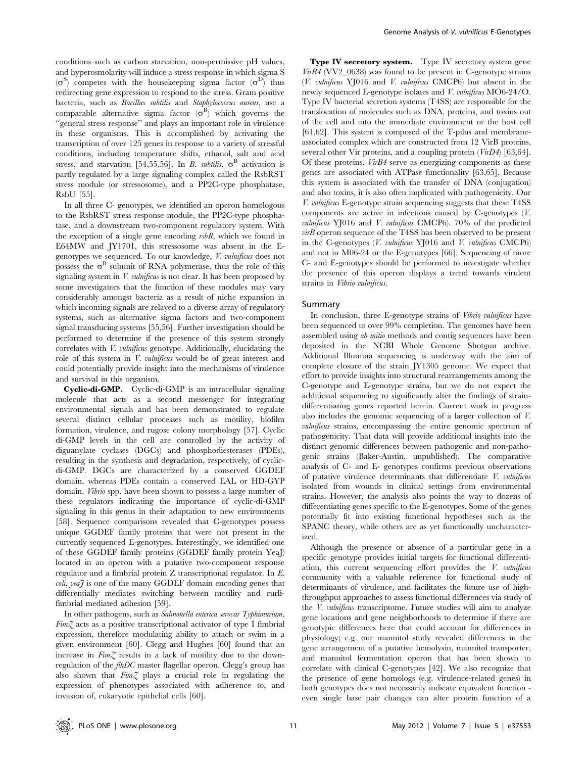conditions such as carbon starvation, non-permissive pH values, and hyperosmolarity will induce a stress response in which sigma S  $(\sigma^S)$  competes with the housekeeping sigma factor  $(\sigma^D)$  thus redirecting gene expression to respond to the stress. Gram positive bacteria, such as Bacillus subtilis and Staphylococcus aureus, use a comparable alternative sigma factor  $(\sigma^B)$  which governs the ''general stress response'' and plays an important role in virulence in these organisms. This is accomplished by activating the transcription of over 125 genes in response to a variety of stressful conditions, including temperature shifts, ethanol, salt and acid stress, and starvation [54,55,56]. In B. subtilis,  $\sigma^B$  activation is partly regulated by a large signaling complex called the RsbRST stress module (or stressosome), and a PP2C-type phosphatase, RsbU [55].

In all three C- genotypes, we identified an operon homologous to the RsbRST stress response module, the PP2C-type phosphatase, and a downstream two-component regulatory system. With the exception of a single gene encoding  $rsbR$ , which we found in E64MW and JY1701, this stressosome was absent in the Egenotypes we sequenced. To our knowledge, V. vulnificus does not possess the  $\sigma^B$  subunit of RNA polymerase, thus the role of this signaling system in *V. vulnificus* is not clear. It has been proposed by some investigators that the function of these modules may vary considerably amongst bacteria as a result of niche expansion in which incoming signals are relayed to a diverse array of regulatory systems, such as alternative sigma factors and two-component signal transducing systems [55,56]. Further investigation should be performed to determine if the presence of this system strongly correlates with *V. vulnificus* genotype. Additionally, elucidating the role of this system in V. vulnificus would be of great interest and could potentially provide insight into the mechanisms of virulence and survival in this organism.

Cyclic-di-GMP. Cyclic-di-GMP is an intracellular signaling molecule that acts as a second messenger for integrating environmental signals and has been demonstrated to regulate several distinct cellular processes such as motility, biofilm formation, virulence, and rugose colony morphology [57]. Cyclic di-GMP levels in the cell are controlled by the activity of diguanylate cyclases (DGCs) and phosphodiesterases (PDEs), resulting in the synthesis and degradation, respectively, of cyclicdi-GMP. DGCs are characterized by a conserved GGDEF domain, whereas PDEs contain a conserved EAL or HD-GYP domain. Vibrio spp. have been shown to possess a large number of these regulators indicating the importance of cyclic-di-GMP signaling in this genus in their adaptation to new environments [58]. Sequence comparisons revealed that C-genotypes possess unique GGDEF family proteins that were not present in the currently sequenced E-genotypes. Interestingly, we identified one of these GGDEF family proteins (GGDEF family protein YeaJ) located in an operon with a putative two-component response regulator and a fimbrial protein Z transcriptional regulator. In E.  $\text{coli}, \text{year}$  is one of the many GGDEF domain encoding genes that differentially mediates switching between motility and curlifimbrial mediated adhesion [59].

In other pathogens, such as Salmonella enterica serovar Typhimurium,  $Fim\mathcal{Z}$  acts as a positive transcriptional activator of type I fimbrial expression, therefore modulating ability to attach or swim in a given environment [60]. Clegg and Hughes [60] found that an increase in FimZ results in a lack of motility due to the downregulation of the flhDC master flagellar operon. Clegg's group has also shown that  $Fim\mathcal{Z}$  plays a crucial role in regulating the expression of phenotypes associated with adherence to, and invasion of, eukaryotic epithelial cells [60].

Type IV secretory system. Type IV secretory system gene VirB4 (VV2\_0638) was found to be present in C-genotype strains (V. vulnificus YJ016 and V. vulnificus CMCP6) but absent in the newly sequenced E-genotype isolates and *V. vulnificus* MO6-24/O. Type IV bacterial secretion systems (T4SS) are responsible for the translocation of molecules such as DNA, proteins, and toxins out of the cell and into the immediate environment or the host cell [61,62]. This system is composed of the T-pilus and membraneassociated complex which are constructed from 12 VirB proteins, several other Vir proteins, and a coupling protein  $(VirD4)$  [63,64]. Of these proteins, VirB4 serve as energizing components as these genes are associated with ATPase functionality [63,65]. Because this system is associated with the transfer of DNA (conjugation) and also toxins, it is also often implicated with pathogenicity. Our V. vulnificus E-genotype strain sequencing suggests that these T4SS components are active in infections caused by C-genotypes (V. vulnificus YJ016 and V. vulnificus CMCP6). 70% of the predicted virB operon sequence of the T4SS has been observed to be present in the C-genotypes (V. vulnificus YJ016 and V. vulnificus CMCP6) and not in M06-24 or the E-genotypes [66]. Sequencing of more C- and E-genotypes should be performed to investigate whether the presence of this operon displays a trend towards virulent strains in Vibrio vulnificus.

#### Summary

In conclusion, three E-genotype strains of *Vibrio vulnificus* have been sequenced to over 99% completion. The genomes have been assembled using ab initio methods and contig sequences have been deposited in the NCBI Whole Genome Shotgun archive. Additional Illumina sequencing is underway with the aim of complete closure of the strain JY1305 genome. We expect that effort to provide insights into structural rearrangements among the C-genotype and E-genotype strains, but we do not expect the additional sequencing to significantly alter the findings of straindifferentiating genes reported herein. Current work in progress also includes the genomic sequencing of a larger collection of V. vulnificus strains, encompassing the entire genomic spectrum of pathogenicity. That data will provide additional insights into the distinct genomic differences between pathogenic and non-pathogenic strains (Baker-Austin, unpublished). The comparative analysis of C- and E- genotypes confirms previous observations of putative virulence determinants that differentiate  $V$ . *vulnificus* isolated from wounds in clinical settings from environmental strains. However, the analysis also points the way to dozens of differentiating genes specific to the E-genotypes. Some of the genes potentially fit into existing functional hypotheses such as the SPANC theory, while others are as yet functionally uncharacterized.

Although the presence or absence of a particular gene in a specific genotype provides initial targets for functional differentiation, this current sequencing effort provides the  $V$ . vulnificus community with a valuable reference for functional study of determinants of virulence, and facilitates the future use of highthroughput approaches to assess functional differences via study of the V. vulnificus transcriptome. Future studies will aim to analyze gene locations and gene neighborhoods to determine if there are genotypic differences here that could account for differences in physiology; e.g. our mannitol study revealed differences in the gene arrangement of a putative hemolysin, mannitol transporter, and mannitol fermentation operon that has been shown to correlate with clinical C-genotypes [42]. We also recognize that the presence of gene homologs (e.g. virulence-related genes) in both genotypes does not necessarily indicate equivalent function even single base pair changes can alter protein function of a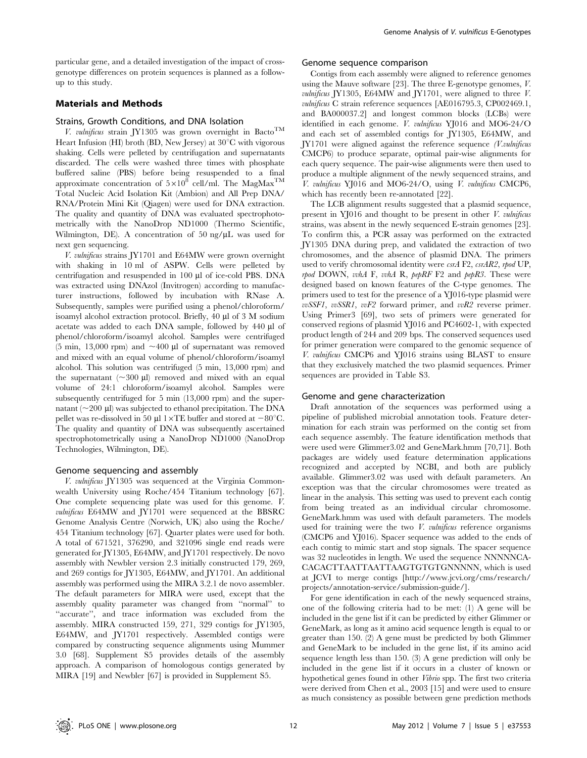particular gene, and a detailed investigation of the impact of crossgenotype differences on protein sequences is planned as a followup to this study.

# Materials and Methods

#### Strains, Growth Conditions, and DNA Isolation

V. vulnificus strain JY1305 was grown overnight in Bacto<sup>TM</sup> Heart Infusion (HI) broth (BD, New Jersey) at  $30^{\circ}$ C with vigorous shaking. Cells were pelleted by centrifugation and supernatants discarded. The cells were washed three times with phosphate buffered saline (PBS) before being resuspended to a final approximate concentration of  $5\times10^8$  cell/ml. The MagMax<sup>TM</sup> Total Nucleic Acid Isolation Kit (Ambion) and All Prep DNA/ RNA/Protein Mini Kit (Qiagen) were used for DNA extraction. The quality and quantity of DNA was evaluated spectrophotometrically with the NanoDrop ND1000 (Thermo Scientific, Wilmington, DE). A concentration of 50 ng/ $\mu$ L was used for next gen sequencing.

V. vulnificus strains JY1701 and E64MW were grown overnight with shaking in 10 ml of ASPW. Cells were pelleted by centrifugation and resuspended in 100 µl of ice-cold PBS. DNA was extracted using DNAzol (Invitrogen) according to manufacturer instructions, followed by incubation with RNase A. Subsequently, samples were purified using a phenol/chloroform/ isoamyl alcohol extraction protocol. Briefly,  $40 \mu$ l of  $3 M$  sodium acetate was added to each DNA sample, followed by 440 µl of phenol/chloroform/isoamyl alcohol. Samples were centrifuged (5 min, 13,000 rpm) and  $\sim$  400 µl of supernatant was removed and mixed with an equal volume of phenol/chloroform/isoamyl alcohol. This solution was centrifuged (5 min, 13,000 rpm) and the supernatant  $(\sim 300 \text{ µ})$  removed and mixed with an equal volume of 24:1 chloroform/isoamyl alcohol. Samples were subsequently centrifuged for 5 min (13,000 rpm) and the supernatant ( $\sim$ 200 µl) was subjected to ethanol precipitation. The DNA pellet was re-dissolved in 50 µl 1 $\times$ TE buffer and stored at  $-80^{\circ}$ C. The quality and quantity of DNA was subsequently ascertained spectrophotometrically using a NanoDrop ND1000 (NanoDrop Technologies, Wilmington, DE).

#### Genome sequencing and assembly

V. vulnificus JY1305 was sequenced at the Virginia Commonwealth University using Roche/454 Titanium technology [67]. One complete sequencing plate was used for this genome. V. vulnificus E64MW and JY1701 were sequenced at the BBSRC Genome Analysis Centre (Norwich, UK) also using the Roche/ 454 Titanium technology [67]. Quarter plates were used for both. A total of 671521, 376290, and 321096 single end reads were generated for JY1305, E64MW, and JY1701 respectively. De novo assembly with Newbler version 2.3 initially constructed 179, 269, and 269 contigs for JY1305, E64MW, and JY1701. An additional assembly was performed using the MIRA 3.2.1 de novo assembler. The default parameters for MIRA were used, except that the assembly quality parameter was changed from ''normal'' to "accurate", and trace information was excluded from the assembly. MIRA constructed 159, 271, 329 contigs for JY1305, E64MW, and JY1701 respectively. Assembled contigs were compared by constructing sequence alignments using Mummer 3.0 [68]. Supplement S5 provides details of the assembly approach. A comparison of homologous contigs generated by MIRA [19] and Newbler [67] is provided in Supplement S5.

### Genome sequence comparison

Contigs from each assembly were aligned to reference genomes using the Mauve software [23]. The three E-genotype genomes, V. vulnificus JY1305, E64MW and JY1701, were aligned to three V. vulnificus C strain reference sequences [AE016795.3, CP002469.1, and BA000037.2] and longest common blocks (LCBs) were identified in each genome. V. vulnificus YJ016 and MO6-24/O and each set of assembled contigs for JY1305, E64MW, and JY1701 were aligned against the reference sequence (V.vulnificus CMCP6) to produce separate, optimal pair-wise alignments for each query sequence. The pair-wise alignments were then used to produce a multiple alignment of the newly sequenced strains, and V. vulnificus YJ016 and MO6-24/O, using V. vulnificus CMCP6, which has recently been re-annotated [22].

The LCB alignment results suggested that a plasmid sequence, present in YJ016 and thought to be present in other V. vulnificus strains, was absent in the newly sequenced E-strain genomes [23]. To confirm this, a PCR assay was performed on the extracted JY1305 DNA during prep, and validated the extraction of two chromosomes, and the absence of plasmid DNA. The primers used to verify chromosomal identity were csrA F2, csrAR2, rpod UP, rpod DOWN, vvhA F, vvhA R, pepRF F2 and pepR3. These were designed based on known features of the C-type genomes. The primers used to test for the presence of a YJ016-type plasmid were  $v \in \text{S} S F I$ ,  $v \in \text{S} S R I$ ,  $v \in F 2$  forward primer, and  $v \in R 2$  reverse primer. Using Primer3 [69], two sets of primers were generated for conserved regions of plasmid YJ016 and PC4602-1, with expected product length of 244 and 209 bps. The conserved sequences used for primer generation were compared to the genomic sequence of V. vulnificus CMCP6 and YJ016 strains using BLAST to ensure that they exclusively matched the two plasmid sequences. Primer sequences are provided in Table S3.

# Genome and gene characterization

Draft annotation of the sequences was performed using a pipeline of published microbial annotation tools. Feature determination for each strain was performed on the contig set from each sequence assembly. The feature identification methods that were used were Glimmer3.02 and GeneMark.hmm [70,71]. Both packages are widely used feature determination applications recognized and accepted by NCBI, and both are publicly available. Glimmer3.02 was used with default parameters. An exception was that the circular chromosomes were treated as linear in the analysis. This setting was used to prevent each contig from being treated as an individual circular chromosome. GeneMark.hmm was used with default parameters. The models used for training were the two  $V.$  vulnificus reference organisms (CMCP6 and YJ016). Spacer sequence was added to the ends of each contig to mimic start and stop signals. The spacer sequence was 32 nucleotides in length. We used the sequence NNNNNCA-CACACTTAATTAATTAAGTGTGTGNNNNN, which is used at JCVI to merge contigs [http://www.jcvi.org/cms/research/ projects/annotation-service/submission-guide/].

For gene identification in each of the newly sequenced strains, one of the following criteria had to be met: (1) A gene will be included in the gene list if it can be predicted by either Glimmer or GeneMark, as long as it amino acid sequence length is equal to or greater than 150. (2) A gene must be predicted by both Glimmer and GeneMark to be included in the gene list, if its amino acid sequence length less than 150. (3) A gene prediction will only be included in the gene list if it occurs in a cluster of known or hypothetical genes found in other Vibrio spp. The first two criteria were derived from Chen et al., 2003 [15] and were used to ensure as much consistency as possible between gene prediction methods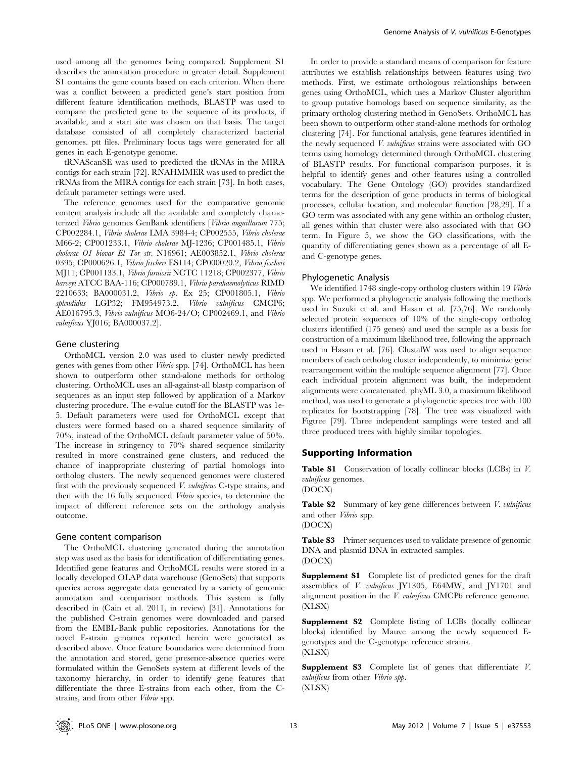used among all the genomes being compared. Supplement S1 describes the annotation procedure in greater detail. Supplement S1 contains the gene counts based on each criterion. When there was a conflict between a predicted gene's start position from different feature identification methods, BLASTP was used to compare the predicted gene to the sequence of its products, if available, and a start site was chosen on that basis. The target database consisted of all completely characterized bacterial genomes. ptt files. Preliminary locus tags were generated for all genes in each E-genotype genome.

tRNAScanSE was used to predicted the tRNAs in the MIRA contigs for each strain [72]. RNAHMMER was used to predict the rRNAs from the MIRA contigs for each strain [73]. In both cases, default parameter settings were used.

The reference genomes used for the comparative genomic content analysis include all the available and completely characterized Vibrio genomes GenBank identifiers [Vibrio anguillarum 775; CP002284.1, Vibrio cholerae LMA 3984-4; CP002555, Vibrio cholerae M66-2; CP001233.1, Vibrio cholerae MJ-1236; CP001485.1, Vibrio cholerae O1 biovar El Tor str. N16961; AE003852.1, Vibrio cholerae 0395; CP000626.1, Vibrio fischeri ES114; CP000020.2, Vibrio fischeri MJ11; CP001133.1, Vibrio furnissii NCTC 11218; CP002377, Vibrio harveyi ATCC BAA-116; CP000789.1, Vibrio parahaemolyticus RIMD 2210633; BA000031.2, Vibrio sp. Ex 25; CP001805.1, Vibrio splendidus LGP32; FM954973.2, Vibrio vulnificus CMCP6; AE016795.3, Vibrio vulnificus MO6-24/O; CP002469.1, and Vibrio vulnificus YJ016; BA000037.2].

## Gene clustering

OrthoMCL version 2.0 was used to cluster newly predicted genes with genes from other Vibrio spp. [74]. OrthoMCL has been shown to outperform other stand-alone methods for ortholog clustering. OrthoMCL uses an all-against-all blastp comparison of sequences as an input step followed by application of a Markov clustering procedure. The e-value cutoff for the BLASTP was 1e-5. Default parameters were used for OrthoMCL except that clusters were formed based on a shared sequence similarity of 70%, instead of the OrthoMCL default parameter value of 50%. The increase in stringency to 70% shared sequence similarity resulted in more constrained gene clusters, and reduced the chance of inappropriate clustering of partial homologs into ortholog clusters. The newly sequenced genomes were clustered first with the previously sequenced V. vulnificus C-type strains, and then with the 16 fully sequenced Vibrio species, to determine the impact of different reference sets on the orthology analysis outcome.

# Gene content comparison

The OrthoMCL clustering generated during the annotation step was used as the basis for identification of differentiating genes. Identified gene features and OrthoMCL results were stored in a locally developed OLAP data warehouse (GenoSets) that supports queries across aggregate data generated by a variety of genomic annotation and comparison methods. This system is fully described in (Cain et al. 2011, in review) [31]. Annotations for the published C-strain genomes were downloaded and parsed from the EMBL-Bank public repositories. Annotations for the novel E-strain genomes reported herein were generated as described above. Once feature boundaries were determined from the annotation and stored, gene presence-absence queries were formulated within the GenoSets system at different levels of the taxonomy hierarchy, in order to identify gene features that differentiate the three E-strains from each other, from the Cstrains, and from other Vibrio spp.

In order to provide a standard means of comparison for feature attributes we establish relationships between features using two methods. First, we estimate orthologous relationships between genes using OrthoMCL, which uses a Markov Cluster algorithm to group putative homologs based on sequence similarity, as the primary ortholog clustering method in GenoSets. OrthoMCL has been shown to outperform other stand-alone methods for ortholog clustering [74]. For functional analysis, gene features identified in the newly sequenced V. vulnificus strains were associated with GO terms using homology determined through OrthoMCL clustering of BLASTP results. For functional comparison purposes, it is helpful to identify genes and other features using a controlled vocabulary. The Gene Ontology (GO) provides standardized terms for the description of gene products in terms of biological processes, cellular location, and molecular function [28,29]. If a GO term was associated with any gene within an ortholog cluster, all genes within that cluster were also associated with that GO term. In Figure 5, we show the GO classifications, with the quantity of differentiating genes shown as a percentage of all Eand C-genotype genes.

# Phylogenetic Analysis

We identified 1748 single-copy ortholog clusters within 19 Vibrio spp. We performed a phylogenetic analysis following the methods used in Suzuki et al. and Hasan et al. [75,76]. We randomly selected protein sequences of 10% of the single-copy ortholog clusters identified (175 genes) and used the sample as a basis for construction of a maximum likelihood tree, following the approach used in Hasan et al. [76]. ClustalW was used to align sequence members of each ortholog cluster independently, to minimize gene rearrangement within the multiple sequence alignment [77]. Once each individual protein alignment was built, the independent alignments were concatenated. phyML 3.0, a maximum likelihood method, was used to generate a phylogenetic species tree with 100 replicates for bootstrapping [78]. The tree was visualized with Figtree [79]. Three independent samplings were tested and all three produced trees with highly similar topologies.

# Supporting Information

Table S1 Conservation of locally collinear blocks (LCBs) in V. vulnificus genomes.

(DOCX)

Table S2 Summary of key gene differences between *V. vulnificus* and other Vibrio spp.

(DOCX)

Table S3 Primer sequences used to validate presence of genomic DNA and plasmid DNA in extracted samples. (DOCX)

Supplement S1 Complete list of predicted genes for the draft assemblies of V. vulnificus JY1305, E64MW, and JY1701 and alignment position in the *V. vulnificus* CMCP6 reference genome. (XLSX)

Supplement S2 Complete listing of LCBs (locally collinear blocks) identified by Mauve among the newly sequenced Egenotypes and the C-genotype reference strains. (XLSX)

Supplement S3 Complete list of genes that differentiate V. vulnificus from other Vibrio spp. (XLSX)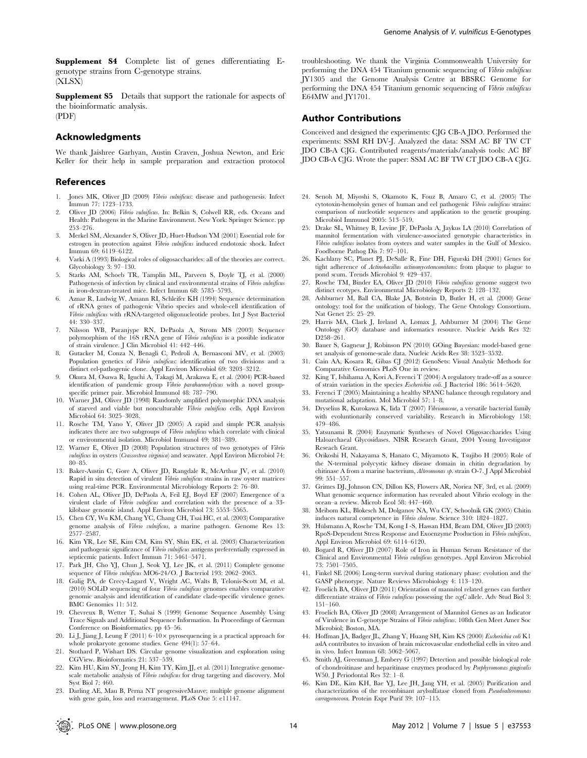Supplement S4 Complete list of genes differentiating Egenotype strains from C-genotype strains. (XLSX)

Supplement S5 Details that support the rationale for aspects of the bioinformatic analysis. (PDF)

# Acknowledgments

We thank Jaishree Garhyan, Austin Craven, Joshua Newton, and Eric Keller for their help in sample preparation and extraction protocol

#### References

- 1. Jones MK, Oliver JD (2009) Vibrio vulnificus: disease and pathogenesis. Infect Immun 77: 1723–1733.
- 2. Oliver JD (2006) Vibrio vulnificus. In: Belkin S, Colwell RR, eds. Oceans and Health: Pathogens in the Marine Environment. New York: Springer Science. pp 253–276.
- 3. Merkel SM, Alexander S, Oliver JD, Huet-Hudson YM (2001) Essential role for estrogen in protection against Vibrio vulnificus induced endotoxic shock. Infect Immun 69: 6119–6122.
- 4. Varki A (1993) Biological roles of oligosaccharides: all of the theories are correct. Glycobiology 3: 97–130.
- 5. Starks AM, Schoeb TR, Tamplin ML, Parveen S, Doyle TJ, et al. (2000) Pathogenesis of infection by clinical and environmental strains of Vibrio vulnificus in iron-dextran-treated mice. Infect Immun 68: 5785–5793.
- 6. Aznar R, Ludwig W, Amann RI, Schleifer KH (1994) Sequence determination of rRNA genes of pathogenic Vibrio species and whole-cell identification of Vibrio vulnificus with rRNA-targeted oligonucleotide probes. Int J Syst Bacteriol 44: 330–337.
- 7. Nilsson WB, Paranjype RN, DePaola A, Strom MS (2003) Sequence polymorphism of the 16S rRNA gene of Vibrio vulnificus is a possible indicator of strain virulence. J Clin Microbiol 41: 442–446.
- 8. Gutacker M, Conza N, Benagli C, Pedroli A, Bernasconi MV, et al. (2003) Population genetics of *Vibrio vulnificus*: identification of two divisions and a distinct eel-pathogenic clone. Appl Environ Microbiol 69: 3203–3212.
- 9. Okura M, Osawa R, Iguchi A, Takagi M, Arakawa E, et al. (2004) PCR-based identification of pandemic group Vibrio parahaemolyticus with a novel groupspecific primer pair. Microbiol Immunol 48: 787–790.
- 10. Warner JM, Oliver JD (1998) Randomly amplified polymorphic DNA analysis of starved and viable but nonculturable Vibrio vulnificus cells. Appl Environ Microbiol 64: 3025–3028.
- 11. Rosche TM, Yano Y, Oliver JD (2005) A rapid and simple PCR analysis indicates there are two subgroups of Vibrio vulnificus which correlate with clinical or environmental isolation. Microbiol Immunol 49: 381–389.
- 12. Warner E, Oliver JD (2008) Population structures of two genotypes of Vibrio vulnificus in oysters (Crassostrea virginica) and seawater. Appl Environ Microbiol 74: 80–85.
- 13. Baker-Austin C, Gore A, Oliver JD, Rangdale R, McArthur JV, et al. (2010) Rapid in situ detection of virulent Vibrio vulnificus strains in raw oyster matrices using real-time PCR. Environmental Microbiology Reports 2: 76–80.
- 14. Cohen AL, Oliver JD, DePaola A, Feil EJ, Boyd EF (2007) Emergence of a virulent clade of Vibrio vulnificus and correlation with the presence of a 33 kilobase genomic island. Appl Environ Microbiol 73: 5553–5565.
- 15. Chen CY, Wu KM, Chang YC, Chang CH, Tsai HC, et al. (2003) Comparative genome analysis of Vibrio vulnificus, a marine pathogen. Genome Res 13: 2577–2587.
- 16. Kim YR, Lee SE, Kim CM, Kim SY, Shin EK, et al. (2003) Characterization and pathogenic significance of Vibrio vulnificus antigens preferentially expressed in septicemic patients. Infect Immun 71: 5461–5471.
- 17. Park JH, Cho YJ, Chun J, Seok YJ, Lee JK, et al. (2011) Complete genome sequence of Vibrio vulnificus MO6-24/O. J Bacteriol 193: 2062–2063.
- 18. Gulig PA, de Crecy-Lagard V, Wright AC, Walts B, Telonis-Scott M, et al. (2010) SOLiD sequencing of four Vibrio vulnificus genomes enables comparative genomic analysis and identification of candidate clade-specific virulence genes. BMC Genomics 11: 512.
- 19. Chevreux B, Wetter T, Suhai S (1999) Genome Sequence Assembly Using Trace Signals and Additional Sequence Information. In Proceedings of German Conference on Bioinformatics. pp 45–56.
- 20. Li J, Jiang J, Leung F (2011)  $6-10\times$  pyrosequencing is a practical approach for whole prokaryote genome studies. Gene 494(1): 57–64.
- 21. Stothard P, Wishart DS. Circular genome visualization and exploration using CGView. Bioinformatics 21: 537–539.
- 22. Kim HU, Kim SY, Jeong H, Kim TY, Kim JJ, et al. (2011) Integrative genomescale metabolic analysis of *Vibrio vulnificus* for drug targeting and discovery. Mol Syst Biol 7: 460.
- 23. Darling AE, Mau B, Perna NT progressiveMauve: multiple genome alignment with gene gain, loss and rearrangement. PLoS One 5: e11147.

troubleshooting. We thank the Virginia Commonwealth University for performing the DNA 454 Titanium genomic sequencing of Vibrio vulnificus JY1305 and the Genome Analysis Centre at BBSRC Genome for performing the DNA 454 Titanium genomic sequencing of Vibrio vulnificus E64MW and JY1701.

# Author Contributions

Conceived and designed the experiments: CJG CB-A JDO. Performed the experiments: SSM RH DV-J. Analyzed the data: SSM AC BF TW CT JDO CB-A CJG. Contributed reagents/materials/analysis tools: AC BF JDO CB-A CJG. Wrote the paper: SSM AC BF TW CT JDO CB-A CJG.

- 24. Senoh M, Miyoshi S, Okamoto K, Fouz B, Amaro C, et al. (2005) The cytotoxin-hemolysin genes of human and eel pathogenic Vibrio vulnificus strains: comparison of nucleotide sequences and application to the genetic grouping. Microbiol Immunol 2005: 513–519.
- 25. Drake SL, Whitney B, Levine JF, DePaola A, Jaykus LA (2010) Correlation of mannitol fermentation with virulence-associated genotypic characteristics in Vibrio vulnificus isolates from oysters and water samples in the Gulf of Mexico. Foodborne Pathog Dis 7: 97–101.
- 26. Kachlany SC, Planet PJ, DeSalle R, Fine DH, Figurski DH (2001) Genes for tight adherence of Actinobacillus actinomycetemcomitans: from plaque to plague to pond scum. Trends Microbiol 9: 429–437.
- 27. Rosche TM, Binder EA, Oliver JD (2010) Vibrio vulnificus genome suggest two distinct ecotypes. Environmental Microbiology Reports 2: 128–132.
- 28. Ashburner M, Ball CA, Blake JA, Botstein D, Butler H, et al. (2000) Gene ontology: tool for the unification of biology. The Gene Ontology Consortium. Nat Genet 25: 25–29.
- 29. Harris MA, Clark J, Ireland A, Lomax J, Ashburner M (2004) The Gene Ontology (GO) database and informatics resource. Nucleic Acids Res 32: D258–261.
- 30. Bauer S, Gagneur J, Robinson PN (2010) GOing Bayesian: model-based gene set analysis of genome-scale data. Nucleic Acids Res 38: 3523–3532.
- 31. Cain AA, Kosara R, Gibas CJ (2012) GenoSets: Visual Analytic Methods for Comparative Genomics PLoS One in review.
- 32. King T, Ishihama A, Kori A, Ferenci T (2004) A regulatory trade-off as a source of strain variation in the species Escherichia coli. J Bacteriol 186: 5614–5620.
- 33. Ferenci T (2005) Maintaining a healthy SPANC balance through regulatory and mutational adaptation. Mol Microbiol 57: 1–8.
- 34. Dryselius R, Kurokawa K, Iida T (2007) Vibrionaceae, a versatile bacterial family with evoluntionarily conserved variability. Research in Microbiology 158: 479–486.
- 35. Yatsunami R (2004) Enzymatic Syntheses of Novel Oligosaccharides Using Haloarchaeal Glycosidases. NISR Research Grant, 2004 Young Investigator Reseach Grant.
- 36. Orikoshi H, Nakayama S, Hanato C, Miyamoto K, Tsujibo H (2005) Role of the N-terminal polycystic kidney disease domain in chitin degradation by chitinase A from a marine bacterium, Alteromonas sp. strain O-7. J Appl Microbiol 99: 551–557.
- 37. Grimes DJ, Johnson CN, Dillon KS, Flowers AR, Noriea NF, 3rd, et al. (2009) What genomic sequence information has revealed about Vibrio ecology in the ocean–a review. Microb Ecol 58: 447–460.
- 38. Meibom KL, Blokesch M, Dolganov NA, Wu CY, Schoolnik GK (2005) Chitin induces natural competence in Vibrio cholerae. Science 310: 1824–1827.
- 39. Hu¨lsmann A, Rosche TM, Kong I -S, Hassan HM, Beam DM, Oliver JD (2003) RpoS-Dependent Stress Response and Exoenzyme Production in Vibrio vulnificus. Appl Environ Microbiol 69: 6114–6120.
- 40. Bogard R, Oliver JD (2007) Role of Iron in Human Serum Resistance of the Clinical and Environmental Vibrio vulnificus genotypes. Appl Environ Microbiol 73: 7501–7505.
- 41. Finkel SE (2006) Long-term survival during stationary phase: evolution and the GASP phenotype. Nature Reviews Microbiology 4: 113–120.
- 42. Froelich BA, Oliver JD (2011) Orientation of mannitol related genes can further differentiate strains of Vibrio vulnificus possessing the vcgC allele. Adv Stud Biol 3: 151–160.
- 43. Froelich BA, Oliver JD (2008) Arrangement of Mannitol Genes as an Indicator of Virulence in C-genotype Strains of Vibrio vulnificus. 108th Gen Meet Amer Soc Microbiol; Boston, MA.
- 44. Hoffman JA, Badger JL, Zhang Y, Huang SH, Kim KS (2000) Escherichia coli K1 aslA contributes to invasion of brain microvascular endothelial cells in vitro and in vivo. Infect Immun 68: 5062–5067.
- 45. Smith AJ, Greenman J, Embery G (1997) Detection and possible biological role of chondroitinase and heparitinase enzymes produced by Porphyromonas gingivalis W50. J Periodontal Res 32: 1–8.
- 46. Kim DE, Kim KH, Bae YJ, Lee JH, Jang YH, et al. (2005) Purification and characterization of the recombinant arylsulfatase cloned from Pseudoalteromonas carrageenovora. Protein Expr Purif 39: 107–115.